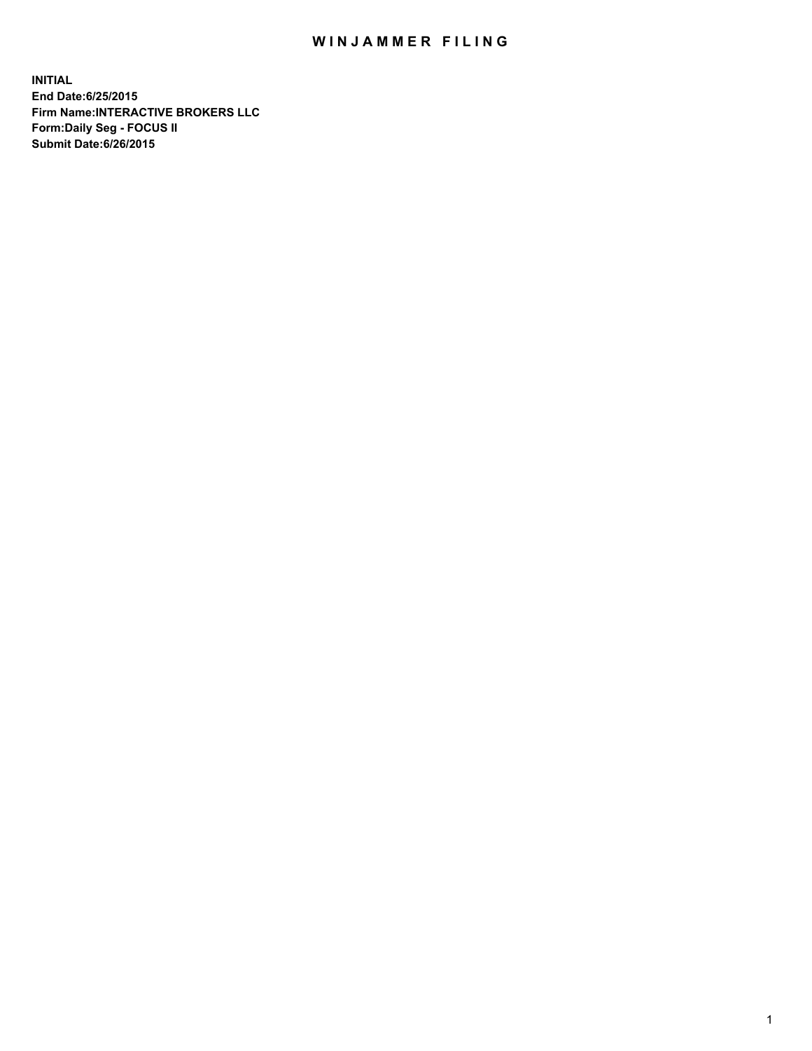## WIN JAMMER FILING

**INITIAL End Date:6/25/2015 Firm Name:INTERACTIVE BROKERS LLC Form:Daily Seg - FOCUS II Submit Date:6/26/2015**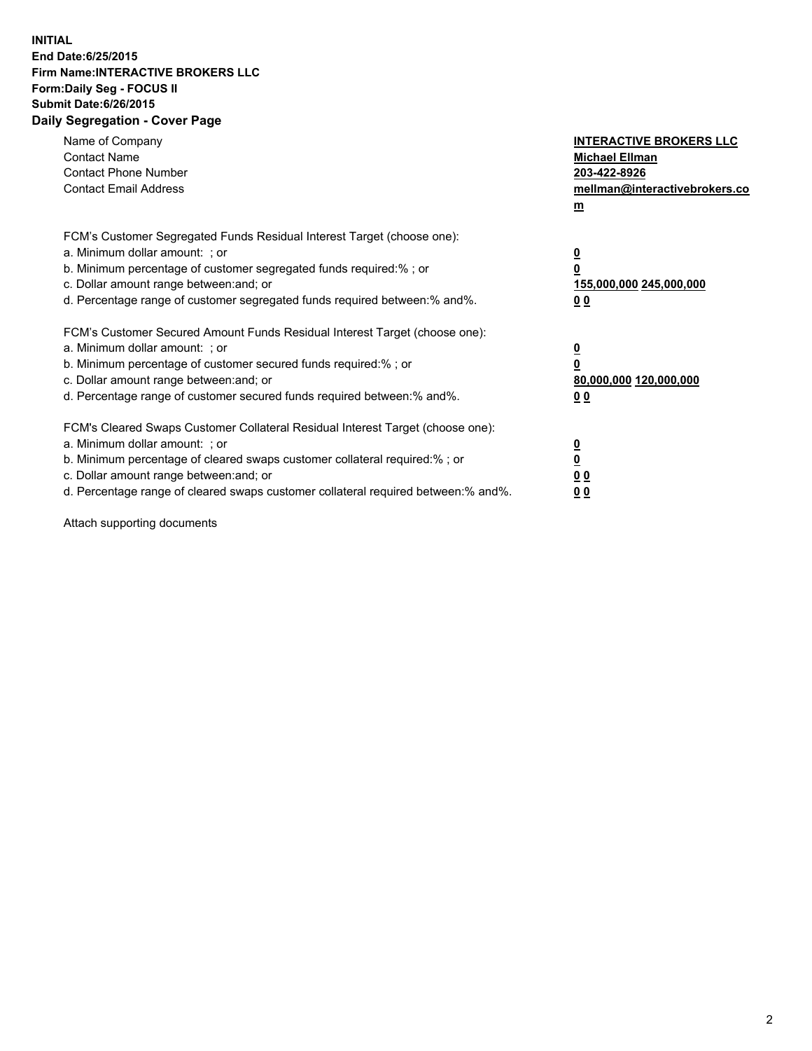## **INITIAL End Date:6/25/2015 Firm Name:INTERACTIVE BROKERS LLC Form:Daily Seg - FOCUS II Submit Date:6/26/2015 Daily Segregation - Cover Page**

| Name of Company<br><b>Contact Name</b><br><b>Contact Phone Number</b><br><b>Contact Email Address</b>                                                                                                                                                                                                                          | <b>INTERACTIVE BROKERS LLC</b><br><b>Michael Ellman</b><br>203-422-8926<br>mellman@interactivebrokers.co<br>$m$ |
|--------------------------------------------------------------------------------------------------------------------------------------------------------------------------------------------------------------------------------------------------------------------------------------------------------------------------------|-----------------------------------------------------------------------------------------------------------------|
| FCM's Customer Segregated Funds Residual Interest Target (choose one):<br>a. Minimum dollar amount: ; or<br>b. Minimum percentage of customer segregated funds required:% ; or<br>c. Dollar amount range between: and; or<br>d. Percentage range of customer segregated funds required between: % and %.                       | $\overline{\mathbf{0}}$<br>0<br>155,000,000 245,000,000<br>00                                                   |
| FCM's Customer Secured Amount Funds Residual Interest Target (choose one):<br>a. Minimum dollar amount: ; or<br>b. Minimum percentage of customer secured funds required:%; or<br>c. Dollar amount range between: and; or<br>d. Percentage range of customer secured funds required between: % and %.                          | $\overline{\mathbf{0}}$<br>0<br>80,000,000 120,000,000<br>0 <sub>0</sub>                                        |
| FCM's Cleared Swaps Customer Collateral Residual Interest Target (choose one):<br>a. Minimum dollar amount: ; or<br>b. Minimum percentage of cleared swaps customer collateral required:% ; or<br>c. Dollar amount range between: and; or<br>d. Percentage range of cleared swaps customer collateral required between:% and%. | $\overline{\mathbf{0}}$<br>$\underline{\mathbf{0}}$<br>0 <sub>0</sub><br>0 <sub>0</sub>                         |

Attach supporting documents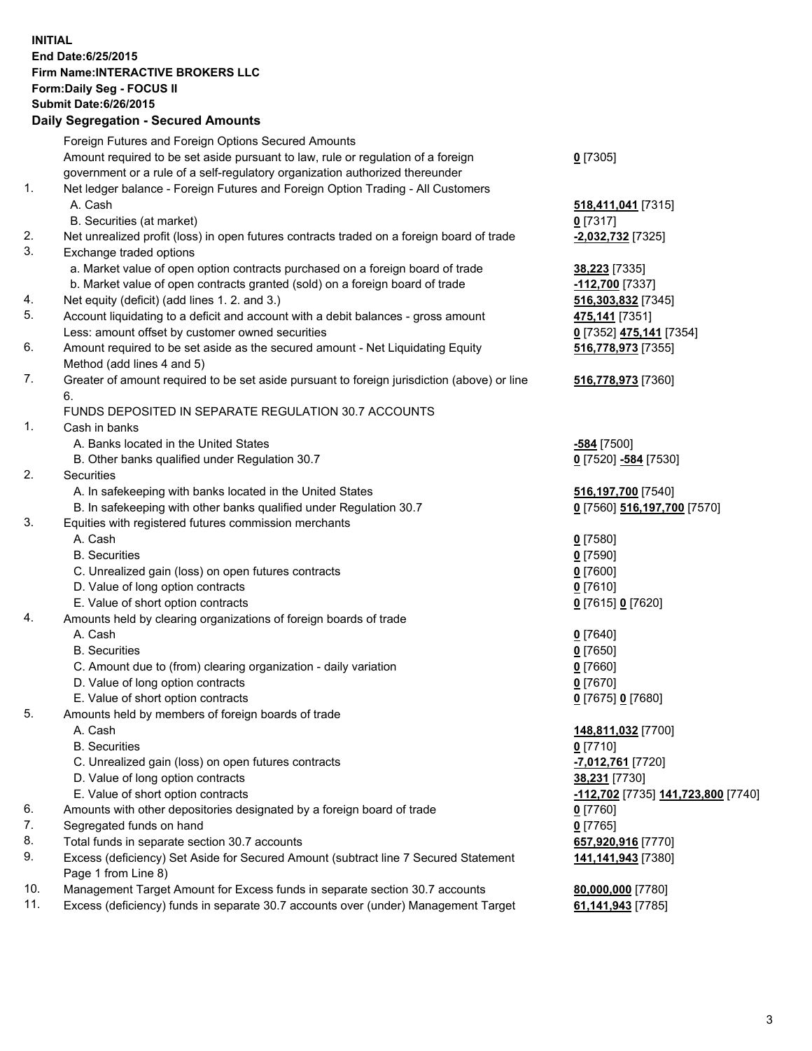## **INITIAL End Date:6/25/2015 Firm Name:INTERACTIVE BROKERS LLC Form:Daily Seg - FOCUS II Submit Date:6/26/2015 Daily Segregation - Secured Amounts**

|     | Foreign Futures and Foreign Options Secured Amounts                                         |                                    |
|-----|---------------------------------------------------------------------------------------------|------------------------------------|
|     | Amount required to be set aside pursuant to law, rule or regulation of a foreign            | $0$ [7305]                         |
|     | government or a rule of a self-regulatory organization authorized thereunder                |                                    |
| 1.  | Net ledger balance - Foreign Futures and Foreign Option Trading - All Customers             |                                    |
|     | A. Cash                                                                                     | 518,411,041 [7315]                 |
|     | B. Securities (at market)                                                                   | $0$ [7317]                         |
| 2.  | Net unrealized profit (loss) in open futures contracts traded on a foreign board of trade   | -2,032,732 [7325]                  |
| 3.  | Exchange traded options                                                                     |                                    |
|     | a. Market value of open option contracts purchased on a foreign board of trade              | 38,223 [7335]                      |
|     | b. Market value of open contracts granted (sold) on a foreign board of trade                | -112,700 [7337]                    |
| 4.  | Net equity (deficit) (add lines 1. 2. and 3.)                                               | 516,303,832 [7345]                 |
| 5.  | Account liquidating to a deficit and account with a debit balances - gross amount           | 475,141 [7351]                     |
|     | Less: amount offset by customer owned securities                                            | 0 [7352] 475,141 [7354]            |
| 6.  | Amount required to be set aside as the secured amount - Net Liquidating Equity              | 516,778,973 [7355]                 |
|     | Method (add lines 4 and 5)                                                                  |                                    |
| 7.  | Greater of amount required to be set aside pursuant to foreign jurisdiction (above) or line |                                    |
|     |                                                                                             | 516,778,973 [7360]                 |
|     | 6.                                                                                          |                                    |
|     | FUNDS DEPOSITED IN SEPARATE REGULATION 30.7 ACCOUNTS                                        |                                    |
| 1.  | Cash in banks                                                                               |                                    |
|     | A. Banks located in the United States                                                       | -584 [7500]                        |
|     | B. Other banks qualified under Regulation 30.7                                              | 0 [7520] -584 [7530]               |
| 2.  | Securities                                                                                  |                                    |
|     | A. In safekeeping with banks located in the United States                                   | 516,197,700 [7540]                 |
|     | B. In safekeeping with other banks qualified under Regulation 30.7                          | 0 [7560] 516,197,700 [7570]        |
| 3.  | Equities with registered futures commission merchants                                       |                                    |
|     | A. Cash                                                                                     | $0$ [7580]                         |
|     | <b>B.</b> Securities                                                                        | $0$ [7590]                         |
|     | C. Unrealized gain (loss) on open futures contracts                                         | $0$ [7600]                         |
|     | D. Value of long option contracts                                                           | $0$ [7610]                         |
|     | E. Value of short option contracts                                                          | 0 [7615] 0 [7620]                  |
| 4.  | Amounts held by clearing organizations of foreign boards of trade                           |                                    |
|     | A. Cash                                                                                     | $0$ [7640]                         |
|     | <b>B.</b> Securities                                                                        | $0$ [7650]                         |
|     | C. Amount due to (from) clearing organization - daily variation                             | $0$ [7660]                         |
|     | D. Value of long option contracts                                                           | $0$ [7670]                         |
|     | E. Value of short option contracts                                                          | 0 [7675] 0 [7680]                  |
| 5.  | Amounts held by members of foreign boards of trade                                          |                                    |
|     | A. Cash                                                                                     | 148,811,032 [7700]                 |
|     | <b>B.</b> Securities                                                                        | $0$ [7710]                         |
|     | C. Unrealized gain (loss) on open futures contracts                                         | -7,012,761 [7720]                  |
|     | D. Value of long option contracts                                                           | 38,231 [7730]                      |
|     | E. Value of short option contracts                                                          | -112,702 [7735] 141,723,800 [7740] |
| 6.  | Amounts with other depositories designated by a foreign board of trade                      | $0$ [7760]                         |
| 7.  | Segregated funds on hand                                                                    | $0$ [7765]                         |
| 8.  | Total funds in separate section 30.7 accounts                                               | 657,920,916 [7770]                 |
| 9.  | Excess (deficiency) Set Aside for Secured Amount (subtract line 7 Secured Statement         | 141,141,943 [7380]                 |
|     | Page 1 from Line 8)                                                                         |                                    |
| 10. | Management Target Amount for Excess funds in separate section 30.7 accounts                 | 80,000,000 [7780]                  |
| 11. | Excess (deficiency) funds in separate 30.7 accounts over (under) Management Target          | 61,141,943 [7785]                  |
|     |                                                                                             |                                    |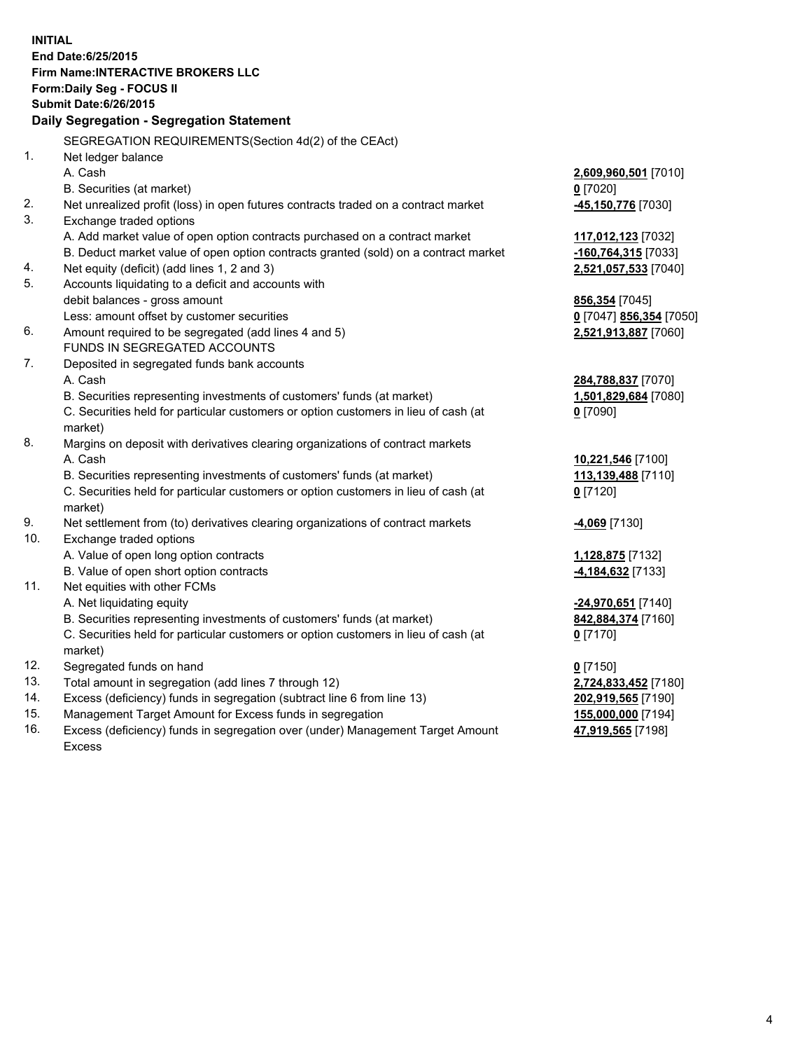**INITIAL End Date:6/25/2015 Firm Name:INTERACTIVE BROKERS LLC Form:Daily Seg - FOCUS II Submit Date:6/26/2015 Daily Segregation - Segregation Statement** SEGREGATION REQUIREMENTS(Section 4d(2) of the CEAct) 1. Net ledger balance A. Cash **2,609,960,501** [7010] B. Securities (at market) **0** [7020] 2. Net unrealized profit (loss) in open futures contracts traded on a contract market **-45,150,776** [7030] 3. Exchange traded options A. Add market value of open option contracts purchased on a contract market **117,012,123** [7032] B. Deduct market value of open option contracts granted (sold) on a contract market **-160,764,315** [7033] 4. Net equity (deficit) (add lines 1, 2 and 3) **2,521,057,533** [7040] 5. Accounts liquidating to a deficit and accounts with debit balances - gross amount **856,354** [7045] Less: amount offset by customer securities **0** [7047] **856,354** [7050] 6. Amount required to be segregated (add lines 4 and 5) **2,521,913,887** [7060] FUNDS IN SEGREGATED ACCOUNTS 7. Deposited in segregated funds bank accounts A. Cash **284,788,837** [7070] B. Securities representing investments of customers' funds (at market) **1,501,829,684** [7080] C. Securities held for particular customers or option customers in lieu of cash (at market) **0** [7090] 8. Margins on deposit with derivatives clearing organizations of contract markets A. Cash **10,221,546** [7100] B. Securities representing investments of customers' funds (at market) **113,139,488** [7110] C. Securities held for particular customers or option customers in lieu of cash (at market) **0** [7120] 9. Net settlement from (to) derivatives clearing organizations of contract markets **-4,069** [7130] 10. Exchange traded options A. Value of open long option contracts **1,128,875** [7132] B. Value of open short option contracts **-4,184,632** [7133] 11. Net equities with other FCMs A. Net liquidating equity **-24,970,651** [7140] B. Securities representing investments of customers' funds (at market) **842,884,374** [7160] C. Securities held for particular customers or option customers in lieu of cash (at market) **0** [7170] 12. Segregated funds on hand **0** [7150] 13. Total amount in segregation (add lines 7 through 12) **2,724,833,452** [7180] 14. Excess (deficiency) funds in segregation (subtract line 6 from line 13) **202,919,565** [7190] 15. Management Target Amount for Excess funds in segregation **155,000,000** [7194]

16. Excess (deficiency) funds in segregation over (under) Management Target Amount Excess

**47,919,565** [7198]